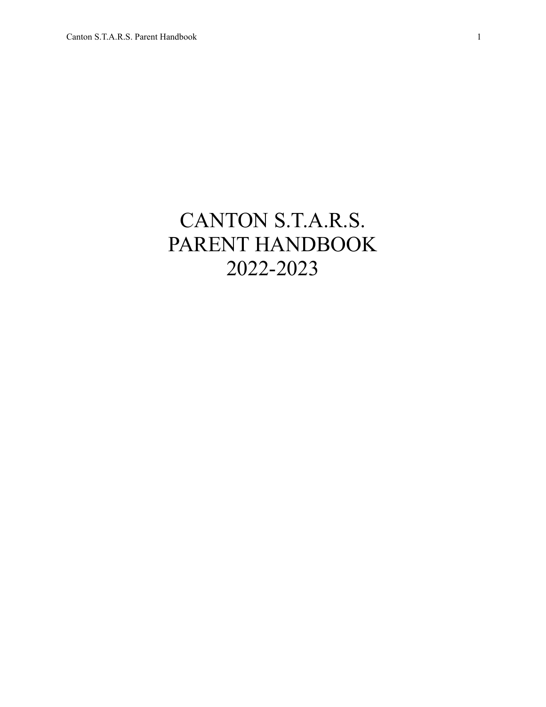# CANTON S.T.A.R.S. PARENT HANDBOOK 2022-2023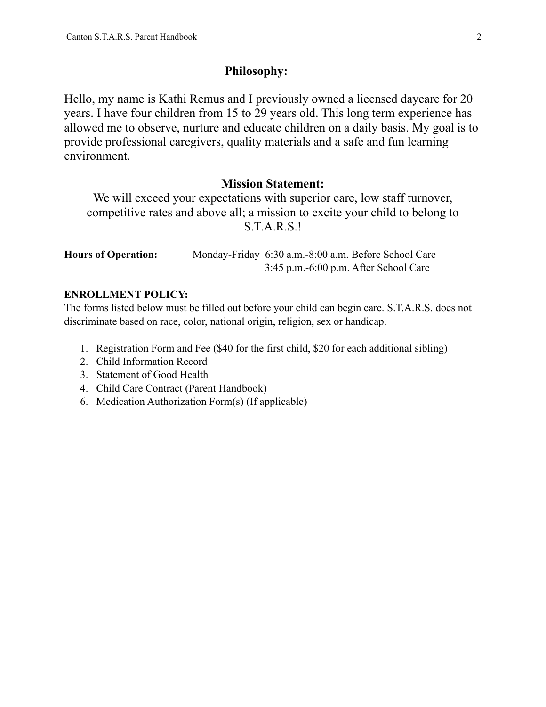## **Philosophy:**

Hello, my name is Kathi Remus and I previously owned a licensed daycare for 20 years. I have four children from 15 to 29 years old. This long term experience has allowed me to observe, nurture and educate children on a daily basis. My goal is to provide professional caregivers, quality materials and a safe and fun learning environment.

# **Mission Statement:**

We will exceed your expectations with superior care, low staff turnover, competitive rates and above all; a mission to excite your child to belong to S.T.A.R.S.!

| <b>Hours of Operation:</b> |                                         | Monday-Friday 6:30 a.m.-8:00 a.m. Before School Care |
|----------------------------|-----------------------------------------|------------------------------------------------------|
|                            | $3:45$ p.m.-6:00 p.m. After School Care |                                                      |

# **ENROLLMENT POLICY:**

The forms listed below must be filled out before your child can begin care. S.T.A.R.S. does not discriminate based on race, color, national origin, religion, sex or handicap.

- 1. Registration Form and Fee (\$40 for the first child, \$20 for each additional sibling)
- 2. Child Information Record
- 3. Statement of Good Health
- 4. Child Care Contract (Parent Handbook)
- 6. Medication Authorization Form(s) (If applicable)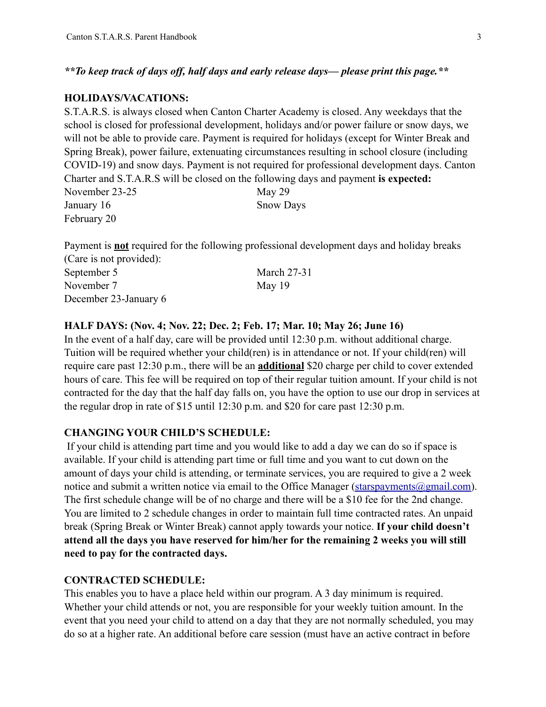*\*\*To keep track of days off, half days and early release days— please print this page.\*\** 

#### **HOLIDAYS/VACATIONS:**

S.T.A.R.S. is always closed when Canton Charter Academy is closed. Any weekdays that the school is closed for professional development, holidays and/or power failure or snow days, we will not be able to provide care. Payment is required for holidays (except for Winter Break and Spring Break), power failure, extenuating circumstances resulting in school closure (including COVID-19) and snow days. Payment is not required for professional development days. Canton Charter and S.T.A.R.S will be closed on the following days and payment **is expected:** November 23-25 May 29 January 16 Snow Days February 20

Payment is **not** required for the following professional development days and holiday breaks (Care is not provided):

| September 5           | <b>March 27-31</b> |
|-----------------------|--------------------|
| November 7            | May 19             |
| December 23-January 6 |                    |

#### **HALF DAYS: (Nov. 4; Nov. 22; Dec. 2; Feb. 17; Mar. 10; May 26; June 16)**

In the event of a half day, care will be provided until 12:30 p.m. without additional charge. Tuition will be required whether your child(ren) is in attendance or not. If your child(ren) will require care past 12:30 p.m., there will be an **additional** \$20 charge per child to cover extended hours of care. This fee will be required on top of their regular tuition amount. If your child is not contracted for the day that the half day falls on, you have the option to use our drop in services at the regular drop in rate of \$15 until 12:30 p.m. and \$20 for care past 12:30 p.m.

#### **CHANGING YOUR CHILD'S SCHEDULE:**

 If your child is attending part time and you would like to add a day we can do so if space is available. If your child is attending part time or full time and you want to cut down on the amount of days your child is attending, or terminate services, you are required to give a 2 week notice and submit a written notice via email to the Office Manager (starspayments  $\omega$ gmail.com). The first schedule change will be of no charge and there will be a \$10 fee for the 2nd change. You are limited to 2 schedule changes in order to maintain full time contracted rates. An unpaid break (Spring Break or Winter Break) cannot apply towards your notice. **If your child doesn't attend all the days you have reserved for him/her for the remaining 2 weeks you will still need to pay for the contracted days.**

#### **CONTRACTED SCHEDULE:**

This enables you to have a place held within our program. A 3 day minimum is required. Whether your child attends or not, you are responsible for your weekly tuition amount. In the event that you need your child to attend on a day that they are not normally scheduled, you may do so at a higher rate. An additional before care session (must have an active contract in before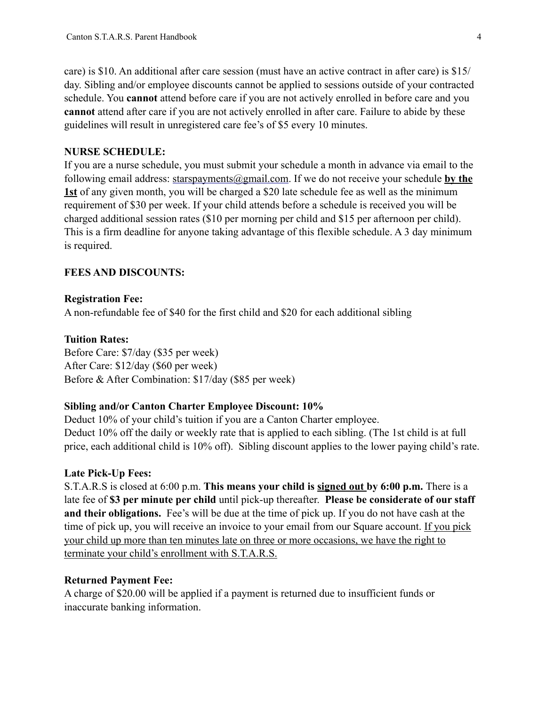care) is \$10. An additional after care session (must have an active contract in after care) is \$15/ day. Sibling and/or employee discounts cannot be applied to sessions outside of your contracted schedule. You **cannot** attend before care if you are not actively enrolled in before care and you **cannot** attend after care if you are not actively enrolled in after care. Failure to abide by these guidelines will result in unregistered care fee's of \$5 every 10 minutes.

#### **NURSE SCHEDULE:**

If you are a nurse schedule, you must submit your schedule a month in advance via email to the following email address: [starspayments@gmail.com.](mailto:starspayments@gmail.com) If we do not receive your schedule **by the 1st** of any given month, you will be charged a \$20 late schedule fee as well as the minimum requirement of \$30 per week. If your child attends before a schedule is received you will be charged additional session rates (\$10 per morning per child and \$15 per afternoon per child). This is a firm deadline for anyone taking advantage of this flexible schedule. A 3 day minimum is required.

#### **FEES AND DISCOUNTS:**

#### **Registration Fee:**

A non-refundable fee of \$40 for the first child and \$20 for each additional sibling

#### **Tuition Rates:**

Before Care: \$7/day (\$35 per week) After Care: \$12/day (\$60 per week) Before & After Combination: \$17/day (\$85 per week)

#### **Sibling and/or Canton Charter Employee Discount: 10%**

Deduct 10% of your child's tuition if you are a Canton Charter employee. Deduct 10% off the daily or weekly rate that is applied to each sibling. (The 1st child is at full price, each additional child is 10% off). Sibling discount applies to the lower paying child's rate.

#### **Late Pick-Up Fees:**

S.T.A.R.S is closed at 6:00 p.m. **This means your child is signed out by 6:00 p.m.** There is a late fee of **\$3 per minute per child** until pick-up thereafter. **Please be considerate of our staff and their obligations.** Fee's will be due at the time of pick up. If you do not have cash at the time of pick up, you will receive an invoice to your email from our Square account. If you pick your child up more than ten minutes late on three or more occasions, we have the right to terminate your child's enrollment with S.T.A.R.S.

#### **Returned Payment Fee:**

A charge of \$20.00 will be applied if a payment is returned due to insufficient funds or inaccurate banking information.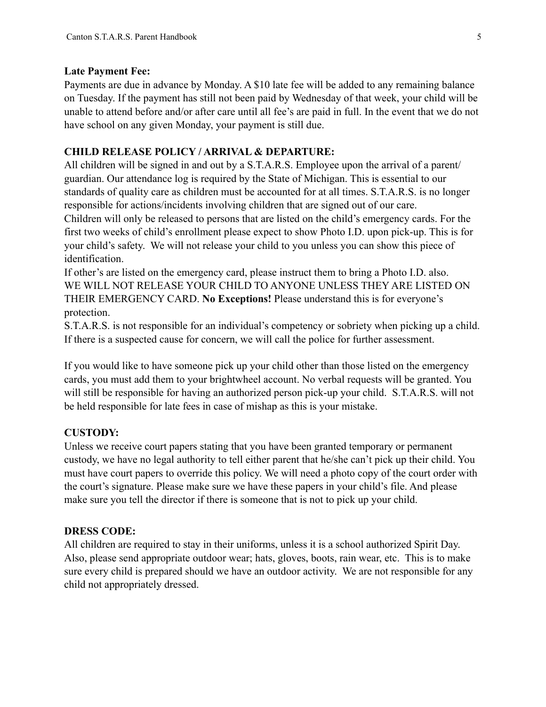#### **Late Payment Fee:**

Payments are due in advance by Monday. A \$10 late fee will be added to any remaining balance on Tuesday. If the payment has still not been paid by Wednesday of that week, your child will be unable to attend before and/or after care until all fee's are paid in full. In the event that we do not have school on any given Monday, your payment is still due.

# **CHILD RELEASE POLICY / ARRIVAL & DEPARTURE:**

All children will be signed in and out by a S.T.A.R.S. Employee upon the arrival of a parent/ guardian. Our attendance log is required by the State of Michigan. This is essential to our standards of quality care as children must be accounted for at all times. S.T.A.R.S. is no longer responsible for actions/incidents involving children that are signed out of our care.

Children will only be released to persons that are listed on the child's emergency cards. For the first two weeks of child's enrollment please expect to show Photo I.D. upon pick-up. This is for your child's safety. We will not release your child to you unless you can show this piece of identification.

If other's are listed on the emergency card, please instruct them to bring a Photo I.D. also. WE WILL NOT RELEASE YOUR CHILD TO ANYONE UNLESS THEY ARE LISTED ON THEIR EMERGENCY CARD. **No Exceptions!** Please understand this is for everyone's protection.

S.T.A.R.S. is not responsible for an individual's competency or sobriety when picking up a child. If there is a suspected cause for concern, we will call the police for further assessment.

If you would like to have someone pick up your child other than those listed on the emergency cards, you must add them to your brightwheel account. No verbal requests will be granted. You will still be responsible for having an authorized person pick-up your child. S.T.A.R.S. will not be held responsible for late fees in case of mishap as this is your mistake.

# **CUSTODY:**

Unless we receive court papers stating that you have been granted temporary or permanent custody, we have no legal authority to tell either parent that he/she can't pick up their child. You must have court papers to override this policy. We will need a photo copy of the court order with the court's signature. Please make sure we have these papers in your child's file. And please make sure you tell the director if there is someone that is not to pick up your child.

# **DRESS CODE:**

All children are required to stay in their uniforms, unless it is a school authorized Spirit Day. Also, please send appropriate outdoor wear; hats, gloves, boots, rain wear, etc. This is to make sure every child is prepared should we have an outdoor activity. We are not responsible for any child not appropriately dressed.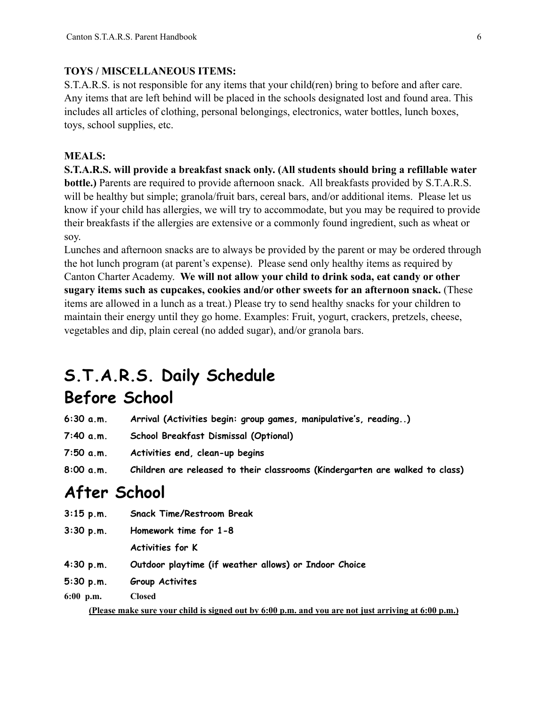#### **TOYS / MISCELLANEOUS ITEMS:**

S.T.A.R.S. is not responsible for any items that your child(ren) bring to before and after care. Any items that are left behind will be placed in the schools designated lost and found area. This includes all articles of clothing, personal belongings, electronics, water bottles, lunch boxes, toys, school supplies, etc.

#### **MEALS:**

**S.T.A.R.S. will provide a breakfast snack only. (All students should bring a refillable water bottle.)** Parents are required to provide afternoon snack. All breakfasts provided by S.T.A.R.S. will be healthy but simple; granola/fruit bars, cereal bars, and/or additional items. Please let us know if your child has allergies, we will try to accommodate, but you may be required to provide their breakfasts if the allergies are extensive or a commonly found ingredient, such as wheat or soy.

Lunches and afternoon snacks are to always be provided by the parent or may be ordered through the hot lunch program (at parent's expense). Please send only healthy items as required by Canton Charter Academy. **We will not allow your child to drink soda, eat candy or other sugary items such as cupcakes, cookies and/or other sweets for an afternoon snack.** (These items are allowed in a lunch as a treat.) Please try to send healthy snacks for your children to maintain their energy until they go home. Examples: Fruit, yogurt, crackers, pretzels, cheese, vegetables and dip, plain cereal (no added sugar), and/or granola bars.

# **S.T.A.R.S. Daily Schedule**

# **Before School**

- **6:30 a.m. Arrival (Activities begin: group games, manipulative's, reading..)**
- **7:40 a.m. School Breakfast Dismissal (Optional)**
- **7:50 a.m. Activities end, clean-up begins**
- **8:00 a.m. Children are released to their classrooms (Kindergarten are walked to class)**

# **After School**

- **3:15 p.m. Snack Time/Restroom Break**
- **3:30 p.m. Homework time for 1-8**

**Activities for K**

- **4:30 p.m. Outdoor playtime (if weather allows) or Indoor Choice**
- **5:30 p.m. Group Activites**

**6:00 p.m. Closed** 

**(Please make sure your child is signed out by 6:00 p.m. and you are not just arriving at 6:00 p.m.)**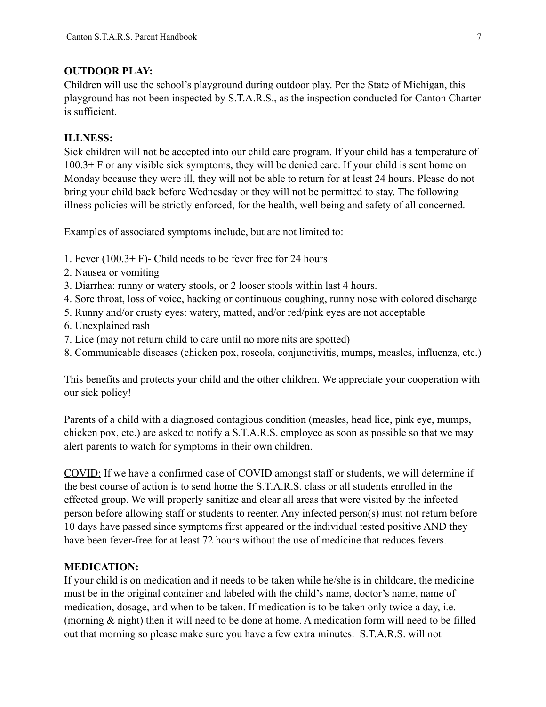#### **OUTDOOR PLAY:**

Children will use the school's playground during outdoor play. Per the State of Michigan, this playground has not been inspected by S.T.A.R.S., as the inspection conducted for Canton Charter is sufficient.

## **ILLNESS:**

Sick children will not be accepted into our child care program. If your child has a temperature of 100.3+ F or any visible sick symptoms, they will be denied care. If your child is sent home on Monday because they were ill, they will not be able to return for at least 24 hours. Please do not bring your child back before Wednesday or they will not be permitted to stay. The following illness policies will be strictly enforced, for the health, well being and safety of all concerned.

Examples of associated symptoms include, but are not limited to:

- 1. Fever (100.3+ F)- Child needs to be fever free for 24 hours
- 2. Nausea or vomiting
- 3. Diarrhea: runny or watery stools, or 2 looser stools within last 4 hours.
- 4. Sore throat, loss of voice, hacking or continuous coughing, runny nose with colored discharge
- 5. Runny and/or crusty eyes: watery, matted, and/or red/pink eyes are not acceptable
- 6. Unexplained rash
- 7. Lice (may not return child to care until no more nits are spotted)
- 8. Communicable diseases (chicken pox, roseola, conjunctivitis, mumps, measles, influenza, etc.)

This benefits and protects your child and the other children. We appreciate your cooperation with our sick policy!

Parents of a child with a diagnosed contagious condition (measles, head lice, pink eye, mumps, chicken pox, etc.) are asked to notify a S.T.A.R.S. employee as soon as possible so that we may alert parents to watch for symptoms in their own children.

COVID: If we have a confirmed case of COVID amongst staff or students, we will determine if the best course of action is to send home the S.T.A.R.S. class or all students enrolled in the effected group. We will properly sanitize and clear all areas that were visited by the infected person before allowing staff or students to reenter. Any infected person(s) must not return before 10 days have passed since symptoms first appeared or the individual tested positive AND they have been fever-free for at least 72 hours without the use of medicine that reduces fevers.

# **MEDICATION:**

If your child is on medication and it needs to be taken while he/she is in childcare, the medicine must be in the original container and labeled with the child's name, doctor's name, name of medication, dosage, and when to be taken. If medication is to be taken only twice a day, i.e. (morning & night) then it will need to be done at home. A medication form will need to be filled out that morning so please make sure you have a few extra minutes. S.T.A.R.S. will not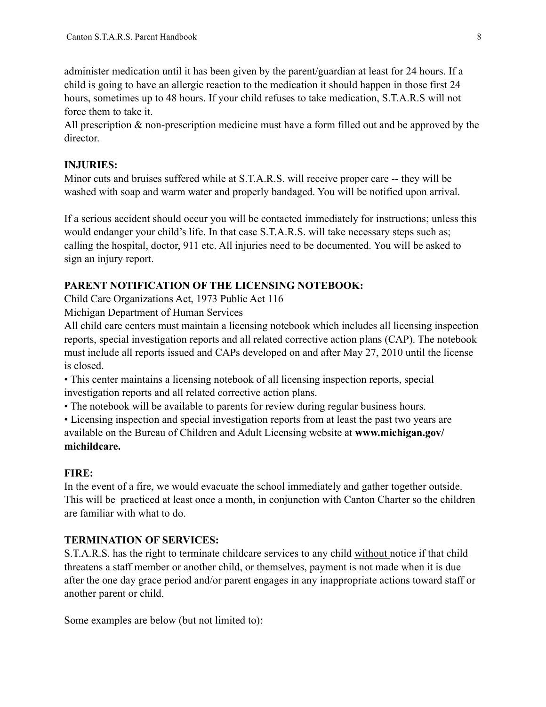administer medication until it has been given by the parent/guardian at least for 24 hours. If a child is going to have an allergic reaction to the medication it should happen in those first 24 hours, sometimes up to 48 hours. If your child refuses to take medication, S.T.A.R.S will not force them to take it.

All prescription & non-prescription medicine must have a form filled out and be approved by the director.

# **INJURIES:**

Minor cuts and bruises suffered while at S.T.A.R.S. will receive proper care -- they will be washed with soap and warm water and properly bandaged. You will be notified upon arrival.

If a serious accident should occur you will be contacted immediately for instructions; unless this would endanger your child's life. In that case S.T.A.R.S. will take necessary steps such as; calling the hospital, doctor, 911 etc. All injuries need to be documented. You will be asked to sign an injury report.

# **PARENT NOTIFICATION OF THE LICENSING NOTEBOOK:**

Child Care Organizations Act, 1973 Public Act 116

Michigan Department of Human Services

All child care centers must maintain a licensing notebook which includes all licensing inspection reports, special investigation reports and all related corrective action plans (CAP). The notebook must include all reports issued and CAPs developed on and after May 27, 2010 until the license is closed.

• This center maintains a licensing notebook of all licensing inspection reports, special investigation reports and all related corrective action plans.

• The notebook will be available to parents for review during regular business hours.

• Licensing inspection and special investigation reports from at least the past two years are available on the Bureau of Children and Adult Licensing website at **www.michigan.gov/ michildcare.**

# **FIRE:**

In the event of a fire, we would evacuate the school immediately and gather together outside. This will be practiced at least once a month, in conjunction with Canton Charter so the children are familiar with what to do.

# **TERMINATION OF SERVICES:**

S.T.A.R.S. has the right to terminate childcare services to any child without notice if that child threatens a staff member or another child, or themselves, payment is not made when it is due after the one day grace period and/or parent engages in any inappropriate actions toward staff or another parent or child.

Some examples are below (but not limited to):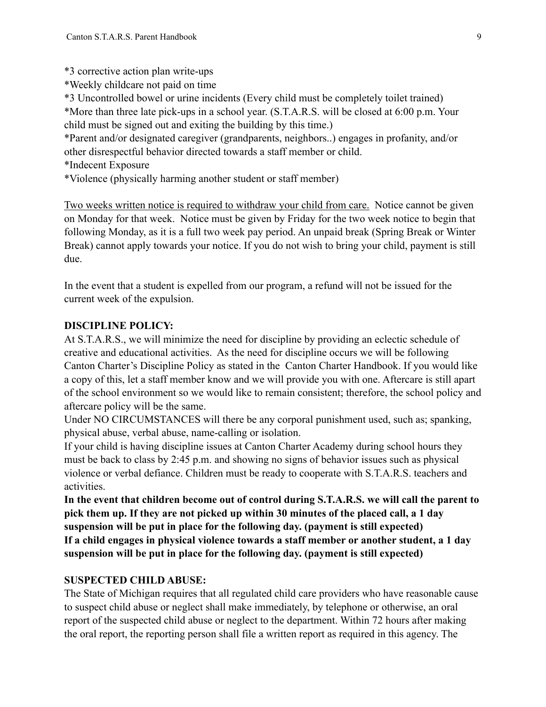\*3 corrective action plan write-ups

\*Weekly childcare not paid on time

\*3 Uncontrolled bowel or urine incidents (Every child must be completely toilet trained) \*More than three late pick-ups in a school year. (S.T.A.R.S. will be closed at 6:00 p.m. Your child must be signed out and exiting the building by this time.)

\*Parent and/or designated caregiver (grandparents, neighbors..) engages in profanity, and/or other disrespectful behavior directed towards a staff member or child.

\*Indecent Exposure

\*Violence (physically harming another student or staff member)

Two weeks written notice is required to withdraw your child from care. Notice cannot be given on Monday for that week. Notice must be given by Friday for the two week notice to begin that following Monday, as it is a full two week pay period. An unpaid break (Spring Break or Winter Break) cannot apply towards your notice. If you do not wish to bring your child, payment is still due.

In the event that a student is expelled from our program, a refund will not be issued for the current week of the expulsion.

# **DISCIPLINE POLICY:**

At S.T.A.R.S., we will minimize the need for discipline by providing an eclectic schedule of creative and educational activities. As the need for discipline occurs we will be following Canton Charter's Discipline Policy as stated in the Canton Charter Handbook. If you would like a copy of this, let a staff member know and we will provide you with one. Aftercare is still apart of the school environment so we would like to remain consistent; therefore, the school policy and aftercare policy will be the same.

Under NO CIRCUMSTANCES will there be any corporal punishment used, such as; spanking, physical abuse, verbal abuse, name-calling or isolation.

If your child is having discipline issues at Canton Charter Academy during school hours they must be back to class by 2:45 p.m. and showing no signs of behavior issues such as physical violence or verbal defiance. Children must be ready to cooperate with S.T.A.R.S. teachers and activities.

**In the event that children become out of control during S.T.A.R.S. we will call the parent to pick them up. If they are not picked up within 30 minutes of the placed call, a 1 day suspension will be put in place for the following day. (payment is still expected) If a child engages in physical violence towards a staff member or another student, a 1 day suspension will be put in place for the following day. (payment is still expected)**

# **SUSPECTED CHILD ABUSE:**

The State of Michigan requires that all regulated child care providers who have reasonable cause to suspect child abuse or neglect shall make immediately, by telephone or otherwise, an oral report of the suspected child abuse or neglect to the department. Within 72 hours after making the oral report, the reporting person shall file a written report as required in this agency. The